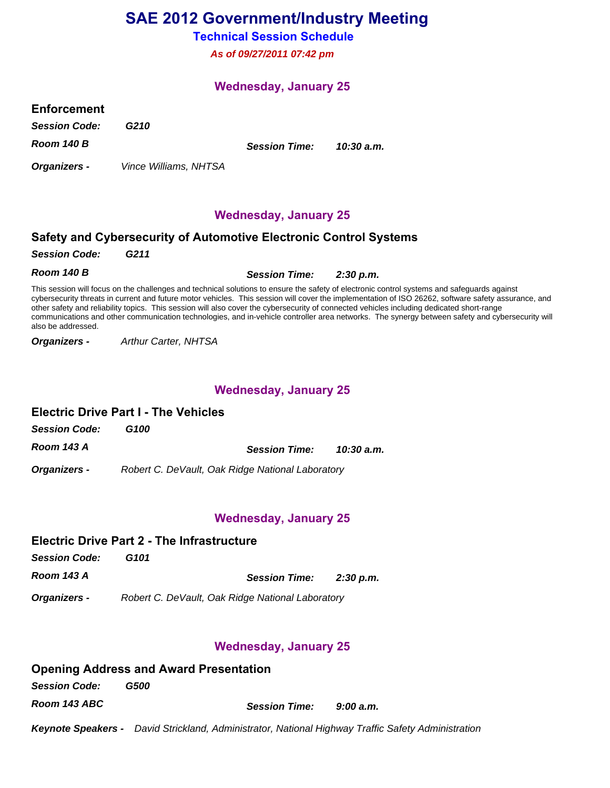# **SAE 2012 Government/Industry Meeting**

### **Technical Session Schedule**

**As of 09/27/2011 07:42 pm**

### **Wednesday, January 25**

### **Enforcement**

**Session Code: G210**

**Room 140 B**

**Organizers -** 

Vince Williams, NHTSA

**10:30 a.m. Session Time:**

**Wednesday, January 25**

### **Safety and Cybersecurity of Automotive Electronic Control Systems**

**Session Code: G211**

**Room 140 B 2:30 p.m. Session Time:**

This session will focus on the challenges and technical solutions to ensure the safety of electronic control systems and safeguards against cybersecurity threats in current and future motor vehicles. This session will cover the implementation of ISO 26262, software safety assurance, and other safety and reliability topics. This session will also cover the cybersecurity of connected vehicles including dedicated short-range communications and other communication technologies, and in-vehicle controller area networks. The synergy between safety and cybersecurity will also be addressed.

Arthur Carter, NHTSA **Organizers -** 

### **Wednesday, January 25**

### **Electric Drive Part I - The Vehicles**

**Session Code: G100**

**Room 143 A 10:30 a.m. Session Time:**

Robert C. DeVault, Oak Ridge National Laboratory **Organizers -** 

### **Wednesday, January 25**

### **Electric Drive Part 2 - The Infrastructure**

**Session Code: G101**

**Room 143 A 2:30 p.m. Session Time:**

Robert C. DeVault, Oak Ridge National Laboratory **Organizers -** 

### **Wednesday, January 25**

### **Opening Address and Award Presentation Session Code: G500 Room 143 ABC 9:00 a.m. Session Time:**

**Keynote Speakers -** David Strickland, Administrator, National Highway Traffic Safety Administration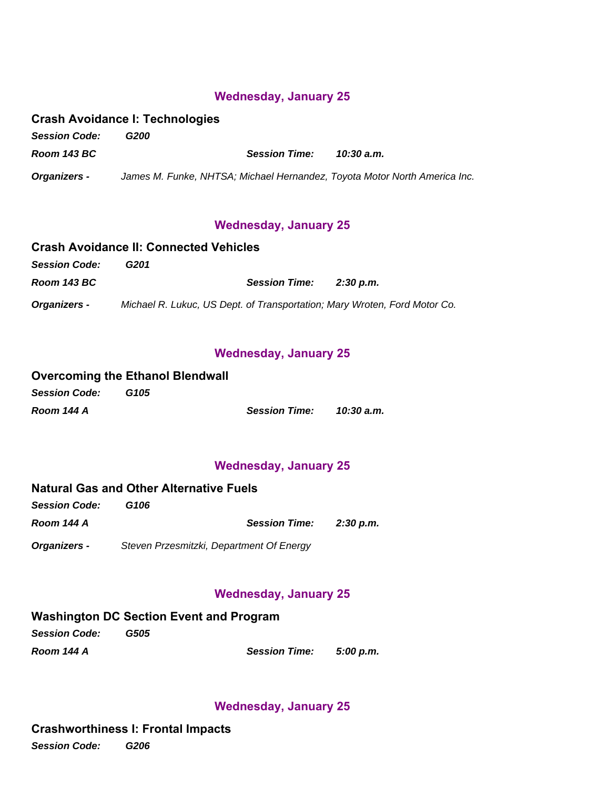### **Wednesday, January 25**

### **Crash Avoidance I: Technologies**

**Session Code: G200 Room 143 BC** James M. Funke, NHTSA; Michael Hernandez, Toyota Motor North America Inc. **Organizers - 10:30 a.m. Session Time:**

### **Wednesday, January 25**

#### **Crash Avoidance II: Connected Vehicles Session Code: G201 Room 143 BC** Michael R. Lukuc, US Dept. of Transportation; Mary Wroten, Ford Motor Co. **Organizers - 2:30 p.m. Session Time:**

### **Wednesday, January 25**

#### **Overcoming the Ethanol Blendwall Session Code: G105 Room 144 A 10:30 a.m. Session Time:**

### **Wednesday, January 25**

### **Natural Gas and Other Alternative Fuels**

| <b>Session Code:</b> | G106                                     |           |
|----------------------|------------------------------------------|-----------|
| Room 144 A           | <b>Session Time:</b>                     | 2:30 p.m. |
| <b>Organizers -</b>  | Steven Przesmitzki, Department Of Energy |           |

### **Wednesday, January 25**

### **Washington DC Section Event and Program**

| <b>Session Code:</b> | G505 |               |           |
|----------------------|------|---------------|-----------|
| Room 144 A           |      | Session Time: | 5:00 p.m. |

### **Wednesday, January 25**

### **Crashworthiness I: Frontal Impacts**

**Session Code: G206**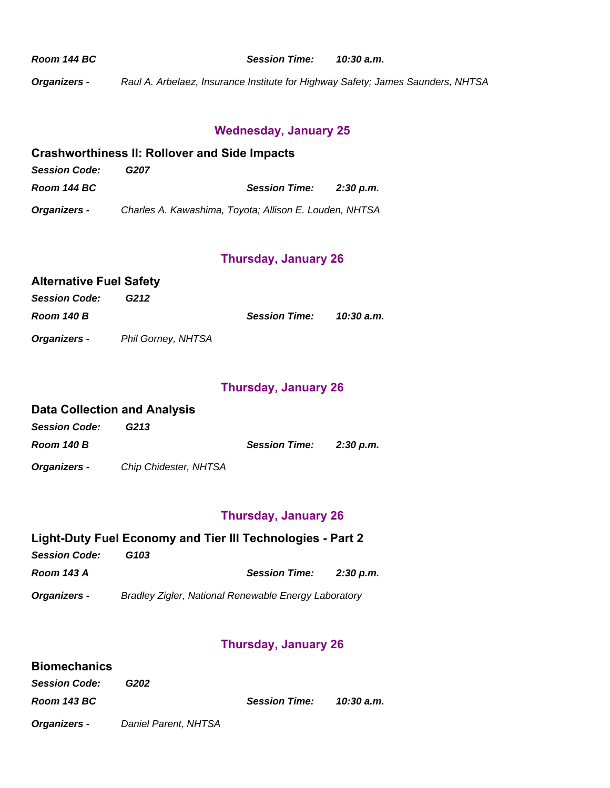**Room 144 BC**

**10:30 a.m. Session Time:**

Raul A. Arbelaez, Insurance Institute for Highway Safety; James Saunders, NHTSA **Organizers -** 

# **Wednesday, January 25**

#### **Crashworthiness II: Rollover and Side Impacts Session Code: G207 Room 144 BC** Charles A. Kawashima, Toyota; Allison E. Louden, NHTSA **Organizers - 2:30 p.m. Session Time:**

# **Thursday, January 26**

| Alternative Fuel Safety |                           |                      |            |
|-------------------------|---------------------------|----------------------|------------|
| <b>Session Code:</b>    | G212                      |                      |            |
| Room 140 B              |                           | <b>Session Time:</b> | 10:30 a.m. |
| <b>Organizers -</b>     | <b>Phil Gorney, NHTSA</b> |                      |            |

### **Thursday, January 26**

|                      | <b>Data Collection and Analysis</b> |                      |           |
|----------------------|-------------------------------------|----------------------|-----------|
| <b>Session Code:</b> | G213                                |                      |           |
| Room 140 B           |                                     | <b>Session Time:</b> | 2:30 p.m. |
| <b>Organizers -</b>  | Chip Chidester, NHTSA               |                      |           |

## **Thursday, January 26**

# **Light-Duty Fuel Economy and Tier III Technologies - Part 2**

| <b>Session Code:</b> | G103 |                                                      |           |
|----------------------|------|------------------------------------------------------|-----------|
| <b>Room 143 A</b>    |      | <b>Session Time:</b>                                 | 2:30 p.m. |
| Organizers -         |      | Bradley Zigler, National Renewable Energy Laboratory |           |

### **Thursday, January 26**

| <b>Biomechanics</b>  |                      |                      |            |
|----------------------|----------------------|----------------------|------------|
| <b>Session Code:</b> | G202                 |                      |            |
| Room 143 BC          |                      | <b>Session Time:</b> | 10:30 a.m. |
| <b>Organizers -</b>  | Daniel Parent, NHTSA |                      |            |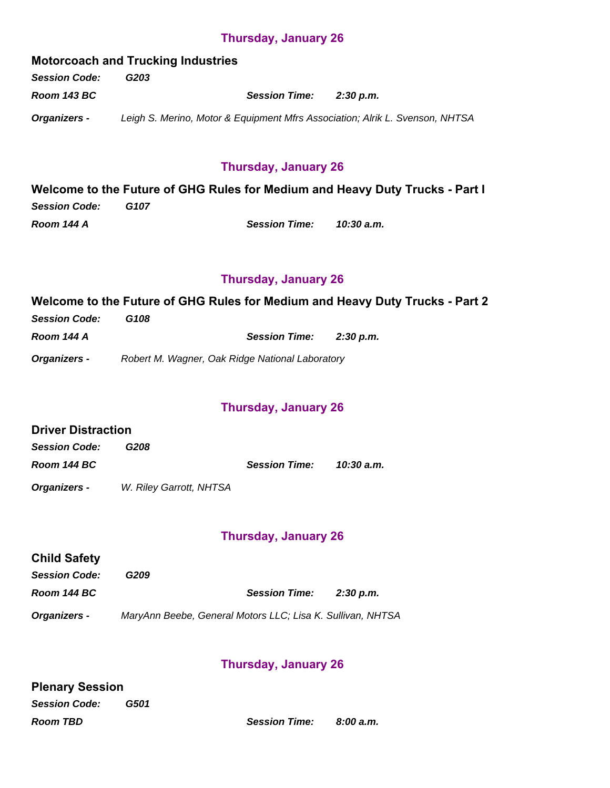### **Thursday, January 26**

**Motorcoach and Trucking Industries Session Code: G203 Room 143 BC** Leigh S. Merino, Motor & Equipment Mfrs Association; Alrik L. Svenson, NHTSA **Organizers - 2:30 p.m. Session Time:**

### **Thursday, January 26**

**Welcome to the Future of GHG Rules for Medium and Heavy Duty Trucks - Part I Session Code: G107 Room 144 A 10:30 a.m. Session Time:**

### **Thursday, January 26**

**Welcome to the Future of GHG Rules for Medium and Heavy Duty Trucks - Part 2 Session Code: G108 Room 144 A Organizers - Standard Report M. Wagner, Oak Ridge National Laboratory 2:30 p.m. Session Time:**

### **Thursday, January 26**

### **Driver Distraction**

| <b>Session Code:</b> | G208                    |                      |            |
|----------------------|-------------------------|----------------------|------------|
| Room 144 BC          |                         | <b>Session Time:</b> | 10:30 a.m. |
| <b>Organizers -</b>  | W. Riley Garrott, NHTSA |                      |            |

### **Thursday, January 26**

| <b>Child Safety</b>  |                                                            |                      |           |
|----------------------|------------------------------------------------------------|----------------------|-----------|
| <b>Session Code:</b> | G209                                                       |                      |           |
| Room 144 BC          |                                                            | <b>Session Time:</b> | 2:30 p.m. |
| <b>Organizers -</b>  | MaryAnn Beebe, General Motors LLC; Lisa K. Sullivan, NHTSA |                      |           |

### **Thursday, January 26**

| <b>Plenary Session</b> |      |                      |           |
|------------------------|------|----------------------|-----------|
| <b>Session Code:</b>   | G501 |                      |           |
| <b>Room TBD</b>        |      | <b>Session Time:</b> | 8:00 a.m. |